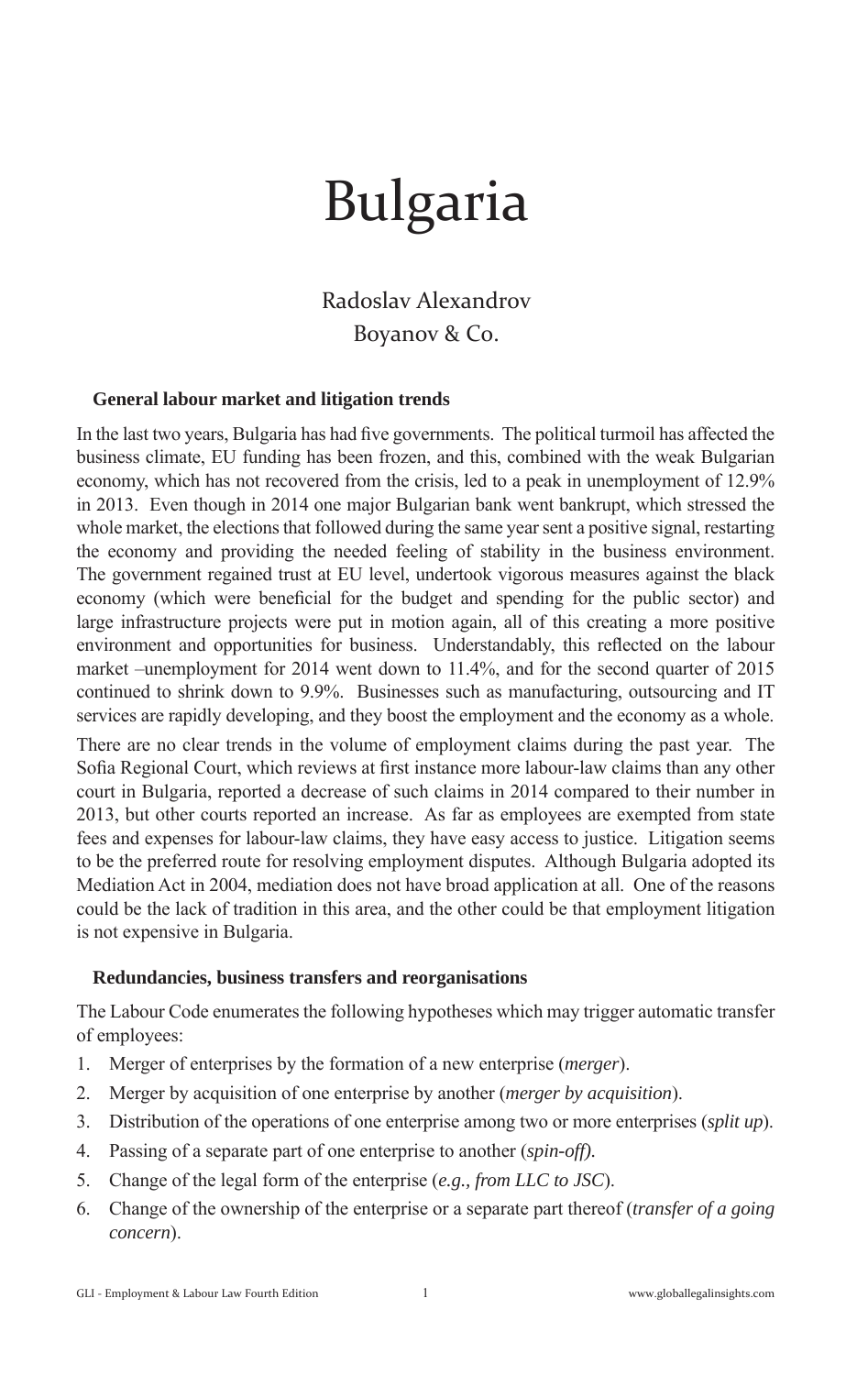# Bulgaria

Radoslav Alexandrov Boyanov & Co.

## **General labour market and litigation trends**

In the last two years, Bulgaria has had five governments. The political turmoil has affected the business climate, EU funding has been frozen, and this, combined with the weak Bulgarian economy, which has not recovered from the crisis, led to a peak in unemployment of 12.9% in 2013. Even though in 2014 one major Bulgarian bank went bankrupt, which stressed the whole market, the elections that followed during the same year sent a positive signal, restarting the economy and providing the needed feeling of stability in the business environment. The government regained trust at EU level, undertook vigorous measures against the black economy (which were beneficial for the budget and spending for the public sector) and large infrastructure projects were put in motion again, all of this creating a more positive environment and opportunities for business. Understandably, this reflected on the labour market –unemployment for 2014 went down to 11.4%, and for the second quarter of 2015 continued to shrink down to 9.9%. Businesses such as manufacturing, outsourcing and IT services are rapidly developing, and they boost the employment and the economy as a whole.

There are no clear trends in the volume of employment claims during the past year. The Sofia Regional Court, which reviews at first instance more labour-law claims than any other court in Bulgaria, reported a decrease of such claims in 2014 compared to their number in 2013, but other courts reported an increase. As far as employees are exempted from state fees and expenses for labour-law claims, they have easy access to justice. Litigation seems to be the preferred route for resolving employment disputes. Although Bulgaria adopted its Mediation Act in 2004, mediation does not have broad application at all. One of the reasons could be the lack of tradition in this area, and the other could be that employment litigation is not expensive in Bulgaria.

#### **Redundancies, business transfers and reorganisations**

The Labour Code enumerates the following hypotheses which may trigger automatic transfer of employees:

- 1. Merger of enterprises by the formation of a new enterprise (*merger*).
- 2. Merger by acquisition of one enterprise by another (*merger by acquisition*).
- 3. Distribution of the operations of one enterprise among two or more enterprises (*split up*).
- 4. Passing of a separate part of one enterprise to another (*spin-off).*
- 5. Change of the legal form of the enterprise (*e.g., from LLC to JSC*).
- 6. Change of the ownership of the enterprise or a separate part thereof (*transfer of a going concern*).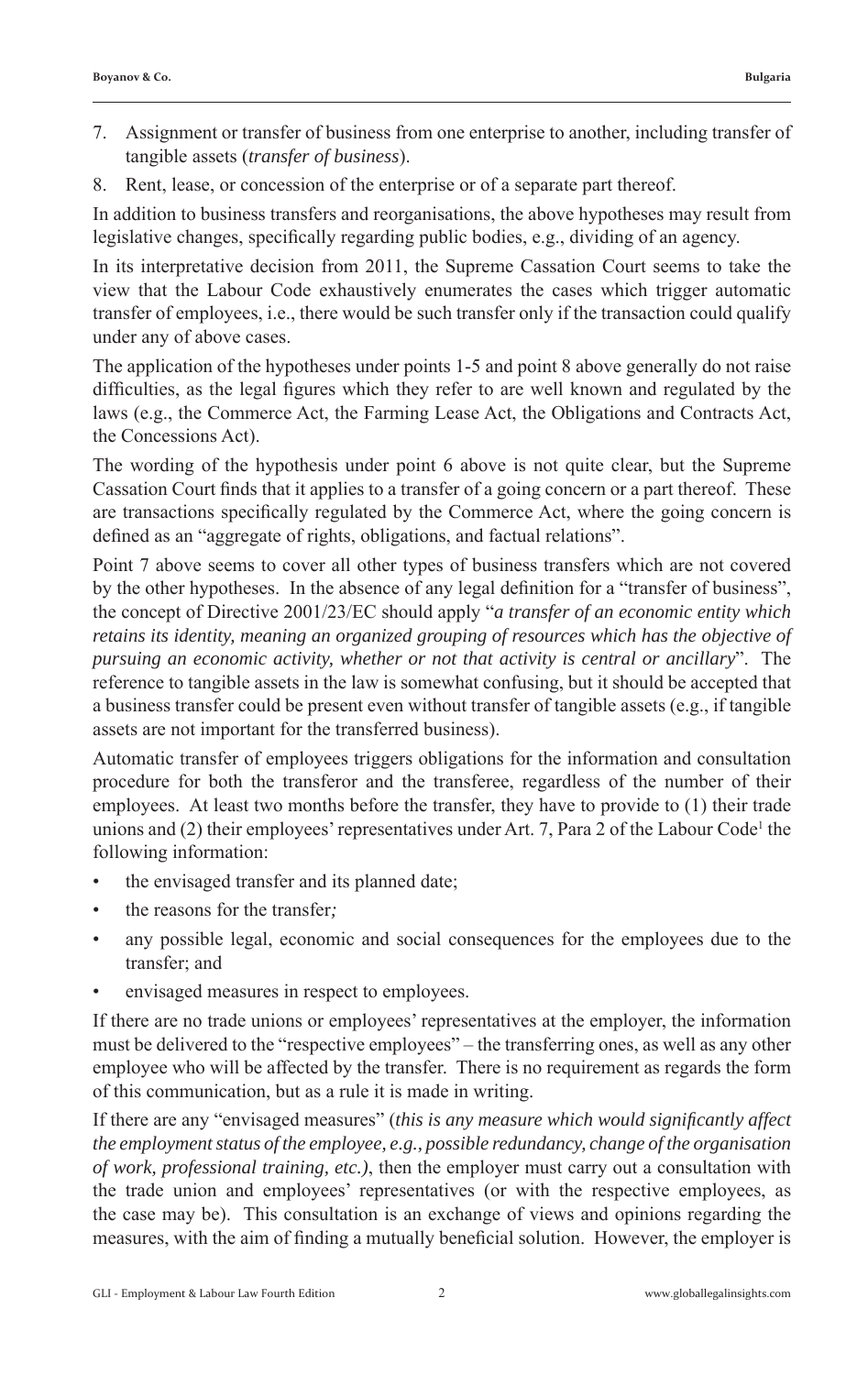- 7. Assignment or transfer of business from one enterprise to another, including transfer of tangible assets (*transfer of business*).
- 8. Rent, lease, or concession of the enterprise or of a separate part thereof.

In addition to business transfers and reorganisations, the above hypotheses may result from legislative changes, specifically regarding public bodies, e.g., dividing of an agency.

In its interpretative decision from 2011, the Supreme Cassation Court seems to take the view that the Labour Code exhaustively enumerates the cases which trigger automatic transfer of employees, i.e., there would be such transfer only if the transaction could qualify under any of above cases.

The application of the hypotheses under points 1-5 and point 8 above generally do not raise difficulties, as the legal figures which they refer to are well known and regulated by the laws (e.g., the Commerce Act, the Farming Lease Act, the Obligations and Contracts Act, the Concessions Act).

The wording of the hypothesis under point 6 above is not quite clear, but the Supreme Cassation Court finds that it applies to a transfer of a going concern or a part thereof. These are transactions specifically regulated by the Commerce Act, where the going concern is defined as an "aggregate of rights, obligations, and factual relations".

Point 7 above seems to cover all other types of business transfers which are not covered by the other hypotheses. In the absence of any legal definition for a "transfer of business", the concept of Directive 2001/23/EC should apply "*a transfer of an economic entity which retains its identity, meaning an organized grouping of resources which has the objective of pursuing an economic activity, whether or not that activity is central or ancillary*". The reference to tangible assets in the law is somewhat confusing, but it should be accepted that a business transfer could be present even without transfer of tangible assets (e.g., if tangible assets are not important for the transferred business).

Automatic transfer of employees triggers obligations for the information and consultation procedure for both the transferor and the transferee, regardless of the number of their employees. At least two months before the transfer, they have to provide to (1) their trade unions and  $(2)$  their employees' representatives under Art. 7, Para 2 of the Labour Code<sup>1</sup> the following information:

- the envisaged transfer and its planned date;
- the reasons for the transfer*;*
- any possible legal, economic and social consequences for the employees due to the transfer; and
- envisaged measures in respect to employees.

If there are no trade unions or employees' representatives at the employer, the information must be delivered to the "respective employees" – the transferring ones, as well as any other employee who will be affected by the transfer. There is no requirement as regards the form of this communication, but as a rule it is made in writing.

If there are any "envisaged measures" (*this is any measure which would signifi cantly affect the employment status of the employee, e.g., possible redundancy, change of the organisation of work, professional training, etc.)*, then the employer must carry out a consultation with the trade union and employees' representatives (or with the respective employees, as the case may be). This consultation is an exchange of views and opinions regarding the measures, with the aim of finding a mutually beneficial solution. However, the employer is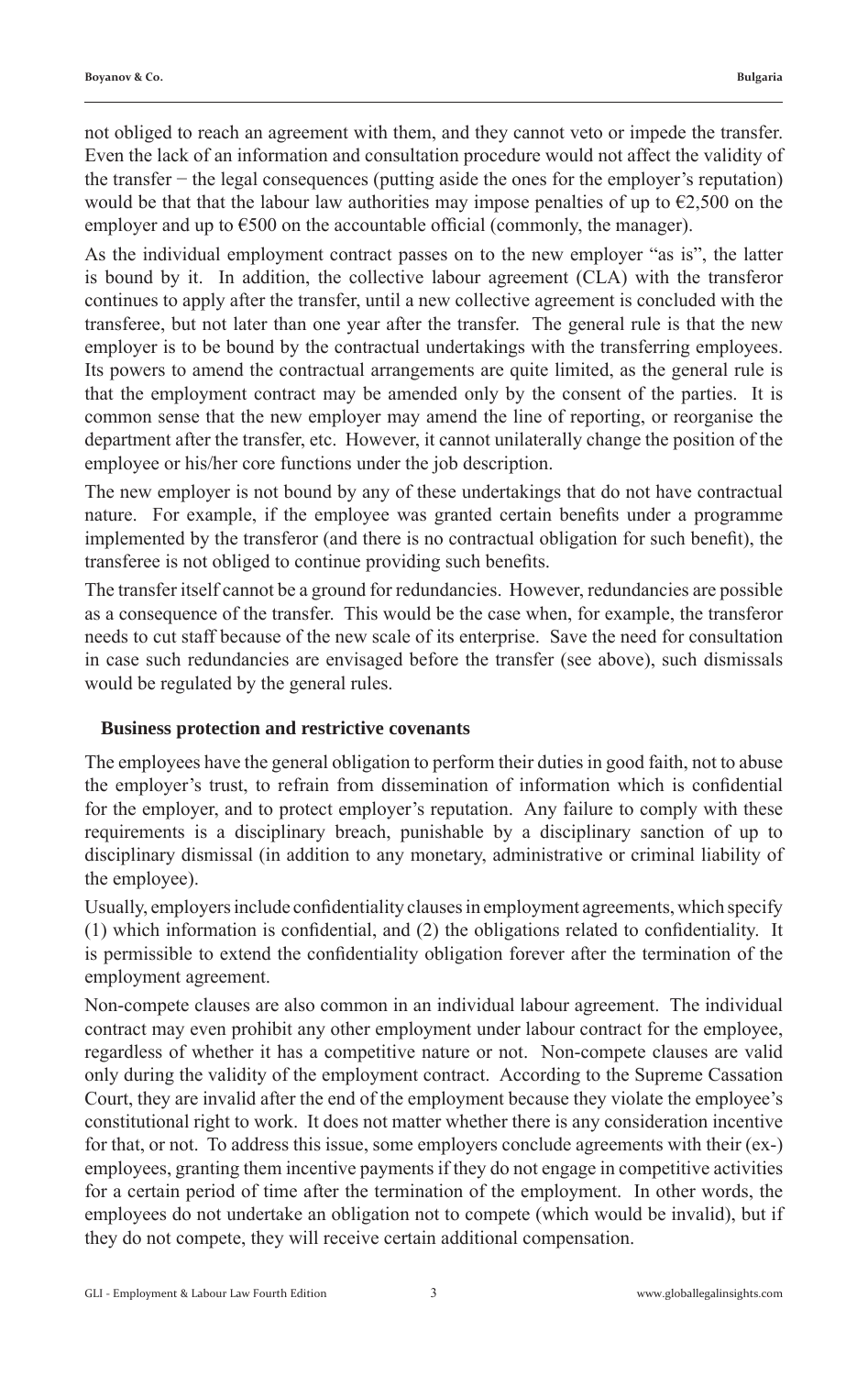not obliged to reach an agreement with them, and they cannot veto or impede the transfer. Even the lack of an information and consultation procedure would not affect the validity of the transfer − the legal consequences (putting aside the ones for the employer's reputation) would be that that the labour law authorities may impose penalties of up to  $\epsilon$ 2,500 on the employer and up to  $\epsilon$ 500 on the accountable official (commonly, the manager).

As the individual employment contract passes on to the new employer "as is", the latter is bound by it. In addition, the collective labour agreement (CLA) with the transferor continues to apply after the transfer, until a new collective agreement is concluded with the transferee, but not later than one year after the transfer. The general rule is that the new employer is to be bound by the contractual undertakings with the transferring employees. Its powers to amend the contractual arrangements are quite limited, as the general rule is that the employment contract may be amended only by the consent of the parties. It is common sense that the new employer may amend the line of reporting, or reorganise the department after the transfer, etc. However, it cannot unilaterally change the position of the employee or his/her core functions under the job description.

The new employer is not bound by any of these undertakings that do not have contractual nature. For example, if the employee was granted certain benefits under a programme implemented by the transferor (and there is no contractual obligation for such benefit), the transferee is not obliged to continue providing such benefits.

The transfer itself cannot be a ground for redundancies. However, redundancies are possible as a consequence of the transfer. This would be the case when, for example, the transferor needs to cut staff because of the new scale of its enterprise. Save the need for consultation in case such redundancies are envisaged before the transfer (see above), such dismissals would be regulated by the general rules.

#### **Business protection and restrictive covenants**

The employees have the general obligation to perform their duties in good faith, not to abuse the employer's trust, to refrain from dissemination of information which is confidential for the employer, and to protect employer's reputation. Any failure to comply with these requirements is a disciplinary breach, punishable by a disciplinary sanction of up to disciplinary dismissal (in addition to any monetary, administrative or criminal liability of the employee).

Usually, employers include confidentiality clauses in employment agreements, which specify  $(1)$  which information is confidential, and  $(2)$  the obligations related to confidentiality. It is permissible to extend the confidentiality obligation forever after the termination of the employment agreement.

Non-compete clauses are also common in an individual labour agreement. The individual contract may even prohibit any other employment under labour contract for the employee, regardless of whether it has a competitive nature or not. Non-compete clauses are valid only during the validity of the employment contract. According to the Supreme Cassation Court, they are invalid after the end of the employment because they violate the employee's constitutional right to work. It does not matter whether there is any consideration incentive for that, or not. To address this issue, some employers conclude agreements with their (ex-) employees, granting them incentive payments if they do not engage in competitive activities for a certain period of time after the termination of the employment. In other words, the employees do not undertake an obligation not to compete (which would be invalid), but if they do not compete, they will receive certain additional compensation.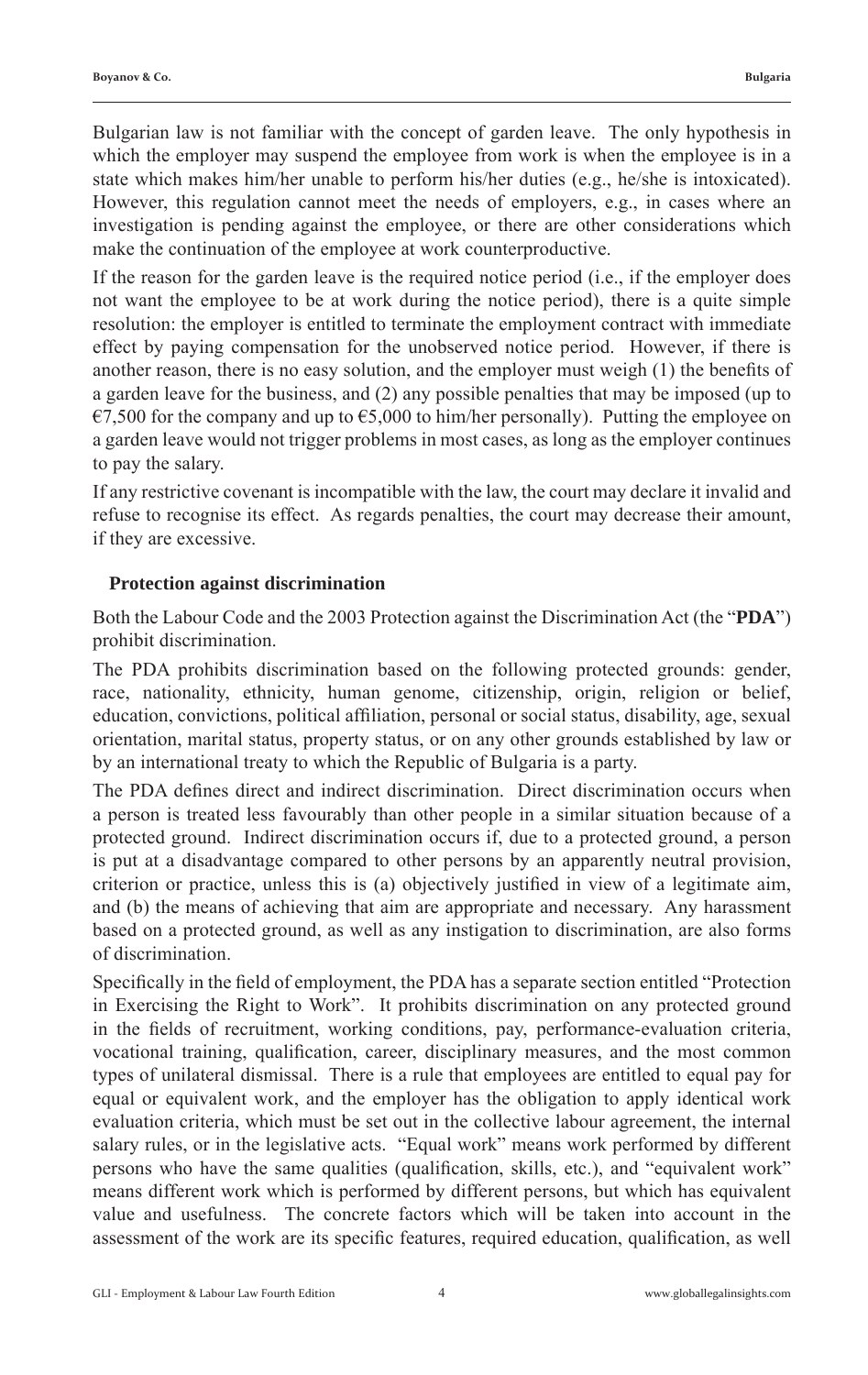Bulgarian law is not familiar with the concept of garden leave. The only hypothesis in which the employer may suspend the employee from work is when the employee is in a state which makes him/her unable to perform his/her duties (e.g., he/she is intoxicated). However, this regulation cannot meet the needs of employers, e.g., in cases where an investigation is pending against the employee, or there are other considerations which make the continuation of the employee at work counterproductive.

If the reason for the garden leave is the required notice period (i.e., if the employer does not want the employee to be at work during the notice period), there is a quite simple resolution: the employer is entitled to terminate the employment contract with immediate effect by paying compensation for the unobserved notice period. However, if there is another reason, there is no easy solution, and the employer must weigh  $(1)$  the benefits of a garden leave for the business, and (2) any possible penalties that may be imposed (up to  $\epsilon$ 7,500 for the company and up to  $\epsilon$ 5,000 to him/her personally). Putting the employee on a garden leave would not trigger problems in most cases, as long as the employer continues to pay the salary.

If any restrictive covenant is incompatible with the law, the court may declare it invalid and refuse to recognise its effect. As regards penalties, the court may decrease their amount, if they are excessive.

## **Protection against discrimination**

Both the Labour Code and the 2003 Protection against the Discrimination Act (the "**PDA**") prohibit discrimination.

The PDA prohibits discrimination based on the following protected grounds: gender, race, nationality, ethnicity, human genome, citizenship, origin, religion or belief, education, convictions, political affiliation, personal or social status, disability, age, sexual orientation, marital status, property status, or on any other grounds established by law or by an international treaty to which the Republic of Bulgaria is a party.

The PDA defines direct and indirect discrimination. Direct discrimination occurs when a person is treated less favourably than other people in a similar situation because of a protected ground. Indirect discrimination occurs if, due to a protected ground, a person is put at a disadvantage compared to other persons by an apparently neutral provision, criterion or practice, unless this is (a) objectively justified in view of a legitimate aim, and (b) the means of achieving that aim are appropriate and necessary. Any harassment based on a protected ground, as well as any instigation to discrimination, are also forms of discrimination.

Specifically in the field of employment, the PDA has a separate section entitled "Protection" in Exercising the Right to Work". It prohibits discrimination on any protected ground in the fields of recruitment, working conditions, pay, performance-evaluation criteria, vocational training, qualification, career, disciplinary measures, and the most common types of unilateral dismissal. There is a rule that employees are entitled to equal pay for equal or equivalent work, and the employer has the obligation to apply identical work evaluation criteria, which must be set out in the collective labour agreement, the internal salary rules, or in the legislative acts. "Equal work" means work performed by different persons who have the same qualities (qualification, skills, etc.), and "equivalent work" means different work which is performed by different persons, but which has equivalent value and usefulness. The concrete factors which will be taken into account in the assessment of the work are its specific features, required education, qualification, as well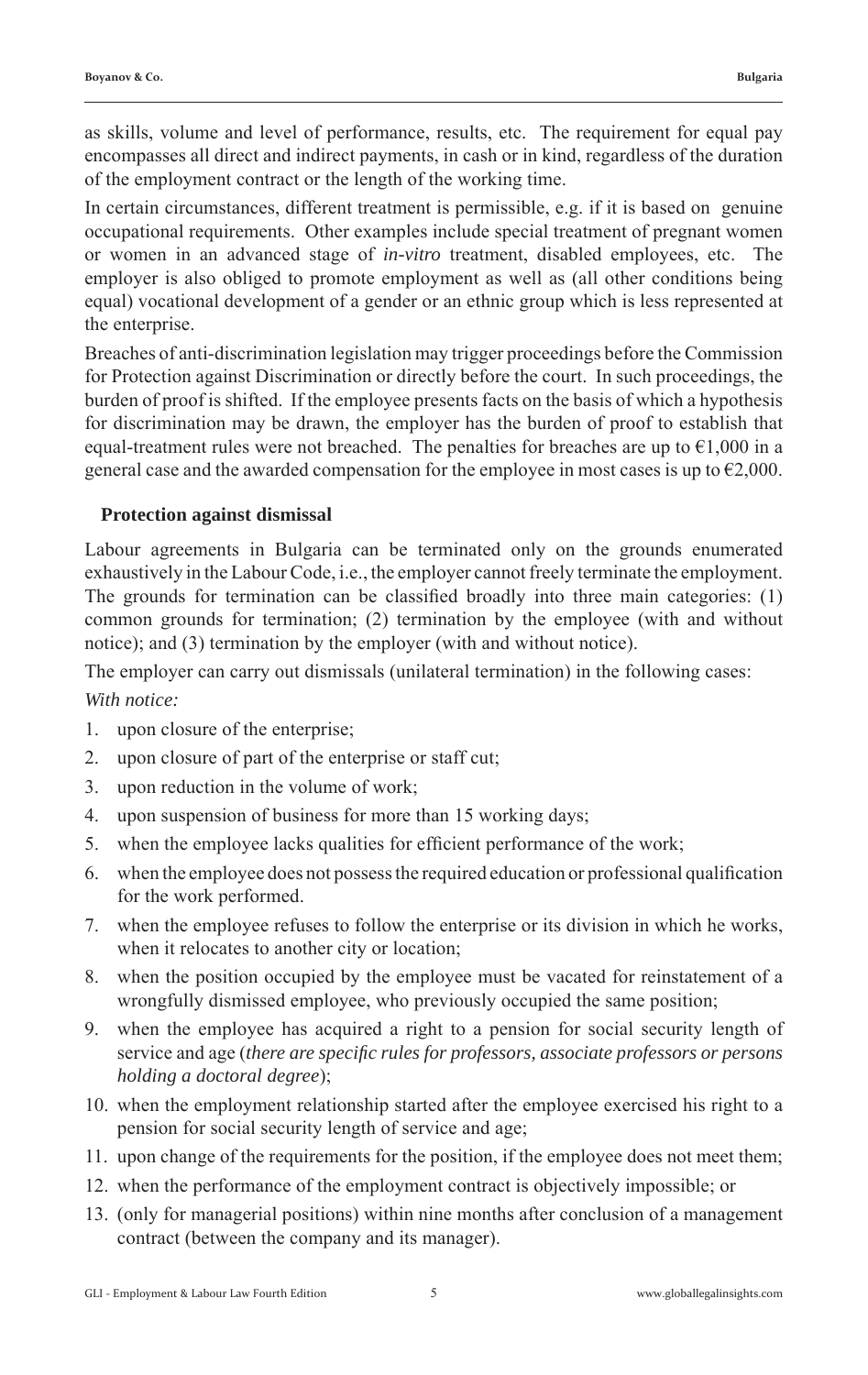as skills, volume and level of performance, results, etc. The requirement for equal pay encompasses all direct and indirect payments, in cash or in kind, regardless of the duration of the employment contract or the length of the working time.

In certain circumstances, different treatment is permissible, e.g. if it is based on genuine occupational requirements. Other examples include special treatment of pregnant women or women in an advanced stage of *in-vitro* treatment, disabled employees, etc. The employer is also obliged to promote employment as well as (all other conditions being equal) vocational development of a gender or an ethnic group which is less represented at the enterprise.

Breaches of anti-discrimination legislation may trigger proceedings before the Commission for Protection against Discrimination or directly before the court. In such proceedings, the burden of proof is shifted. If the employee presents facts on the basis of which a hypothesis for discrimination may be drawn, the employer has the burden of proof to establish that equal-treatment rules were not breached. The penalties for breaches are up to  $\epsilon$ 1,000 in a general case and the awarded compensation for the employee in most cases is up to  $\epsilon$ 2,000.

# **Protection against dismissal**

Labour agreements in Bulgaria can be terminated only on the grounds enumerated exhaustively in the Labour Code, i.e., the employer cannot freely terminate the employment. The grounds for termination can be classified broadly into three main categories:  $(1)$ common grounds for termination; (2) termination by the employee (with and without notice); and (3) termination by the employer (with and without notice).

The employer can carry out dismissals (unilateral termination) in the following cases:

*With notice:*

- 1. upon closure of the enterprise;
- 2. upon closure of part of the enterprise or staff cut;
- 3. upon reduction in the volume of work;
- 4. upon suspension of business for more than 15 working days;
- 5. when the employee lacks qualities for efficient performance of the work;
- 6. when the employee does not possess the required education or professional qualification for the work performed.
- 7. when the employee refuses to follow the enterprise or its division in which he works, when it relocates to another city or location;
- 8. when the position occupied by the employee must be vacated for reinstatement of a wrongfully dismissed employee, who previously occupied the same position;
- 9. when the employee has acquired a right to a pension for social security length of service and age (*there are specifi c rules for professors, associate professors or persons holding a doctoral degree*);
- 10. when the employment relationship started after the employee exercised his right to a pension for social security length of service and age;
- 11. upon change of the requirements for the position, if the employee does not meet them;
- 12. when the performance of the employment contract is objectively impossible; or
- 13. (only for managerial positions) within nine months after conclusion of a management contract (between the company and its manager).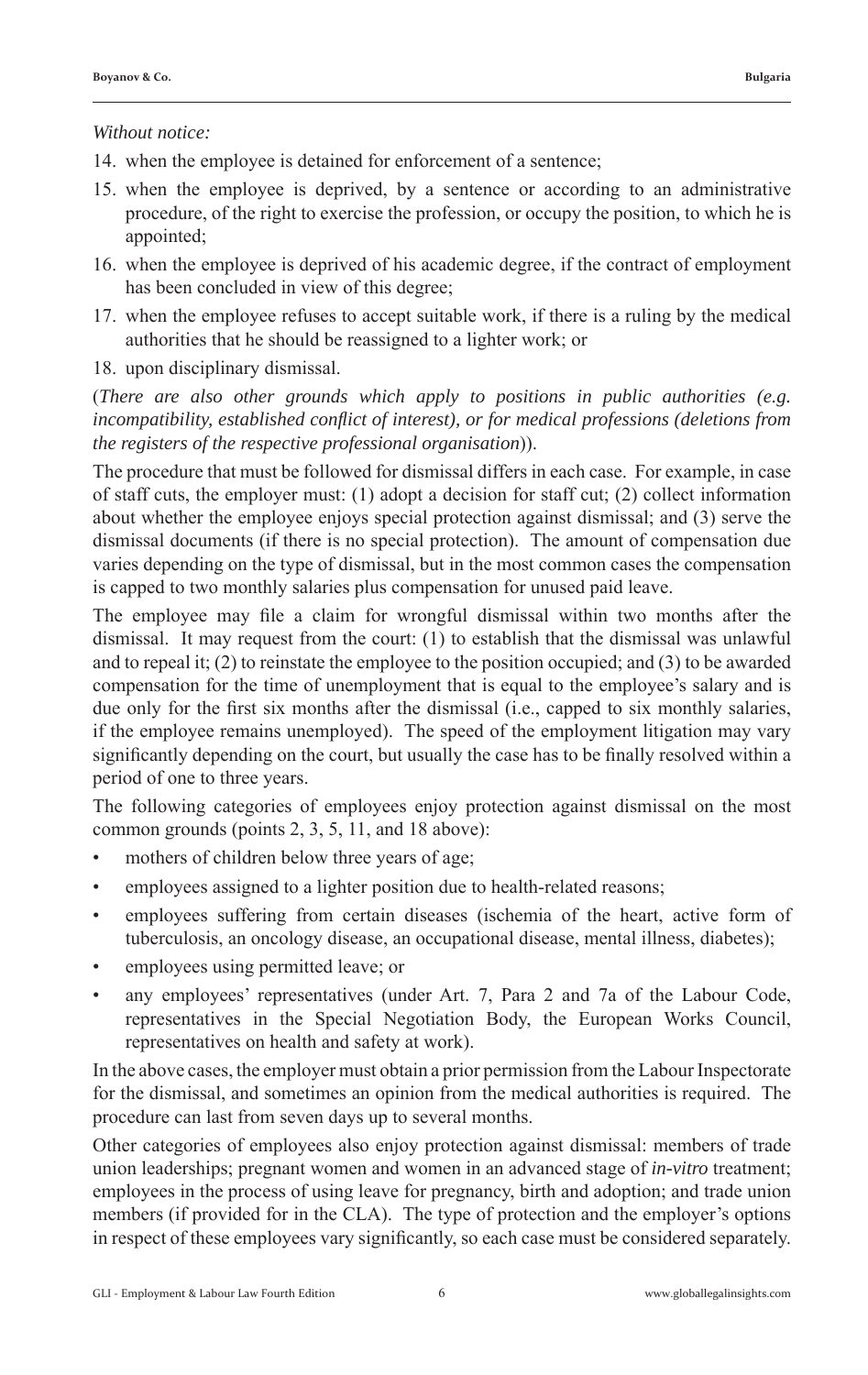#### *Without notice:*

- 14. when the employee is detained for enforcement of a sentence;
- 15. when the employee is deprived, by a sentence or according to an administrative procedure, of the right to exercise the profession, or occupy the position, to which he is appointed;
- 16. when the employee is deprived of his academic degree, if the contract of employment has been concluded in view of this degree;
- 17. when the employee refuses to accept suitable work, if there is a ruling by the medical authorities that he should be reassigned to a lighter work; or
- 18. upon disciplinary dismissal.

(*There are also other grounds which apply to positions in public authorities (e.g. incompatibility, established conflict of interest), or for medical professions (deletions from the registers of the respective professional organisation*)).

The procedure that must be followed for dismissal differs in each case. For example, in case of staff cuts, the employer must: (1) adopt a decision for staff cut; (2) collect information about whether the employee enjoys special protection against dismissal; and (3) serve the dismissal documents (if there is no special protection). The amount of compensation due varies depending on the type of dismissal, but in the most common cases the compensation is capped to two monthly salaries plus compensation for unused paid leave.

The employee may file a claim for wrongful dismissal within two months after the dismissal. It may request from the court: (1) to establish that the dismissal was unlawful and to repeal it; (2) to reinstate the employee to the position occupied; and (3) to be awarded compensation for the time of unemployment that is equal to the employee's salary and is due only for the first six months after the dismissal (i.e., capped to six monthly salaries, if the employee remains unemployed). The speed of the employment litigation may vary significantly depending on the court, but usually the case has to be finally resolved within a period of one to three years.

The following categories of employees enjoy protection against dismissal on the most common grounds (points 2, 3, 5, 11, and 18 above):

- mothers of children below three years of age;
- employees assigned to a lighter position due to health-related reasons;
- employees suffering from certain diseases (ischemia of the heart, active form of tuberculosis, an oncology disease, an occupational disease, mental illness, diabetes);
- employees using permitted leave; or
- any employees' representatives (under Art. 7, Para 2 and 7a of the Labour Code, representatives in the Special Negotiation Body, the European Works Council, representatives on health and safety at work).

In the above cases, the employer must obtain a prior permission from the Labour Inspectorate for the dismissal, and sometimes an opinion from the medical authorities is required. The procedure can last from seven days up to several months.

Other categories of employees also enjoy protection against dismissal: members of trade union leaderships; pregnant women and women in an advanced stage of *in-vitro* treatment; employees in the process of using leave for pregnancy, birth and adoption; and trade union members (if provided for in the CLA). The type of protection and the employer's options in respect of these employees vary significantly, so each case must be considered separately.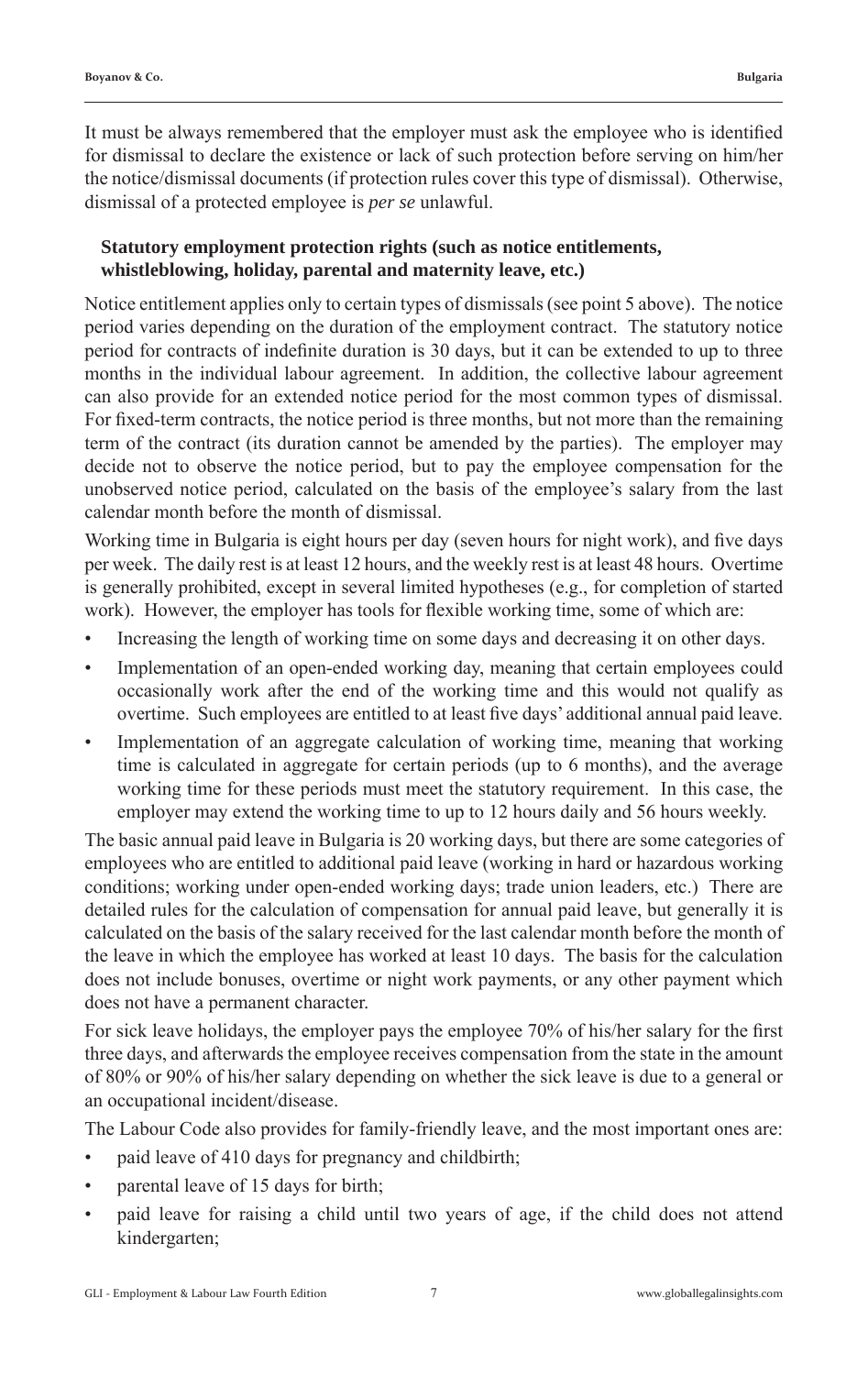It must be always remembered that the employer must ask the employee who is identified for dismissal to declare the existence or lack of such protection before serving on him/her the notice/dismissal documents (if protection rules cover this type of dismissal). Otherwise, dismissal of a protected employee is *per se* unlawful.

# **Statutory employment protection rights (such as notice entitlements, whistleblowing, holiday, parental and maternity leave, etc.)**

Notice entitlement applies only to certain types of dismissals (see point 5 above). The notice period varies depending on the duration of the employment contract. The statutory notice period for contracts of indefinite duration is 30 days, but it can be extended to up to three months in the individual labour agreement. In addition, the collective labour agreement can also provide for an extended notice period for the most common types of dismissal. For fixed-term contracts, the notice period is three months, but not more than the remaining term of the contract (its duration cannot be amended by the parties). The employer may decide not to observe the notice period, but to pay the employee compensation for the unobserved notice period, calculated on the basis of the employee's salary from the last calendar month before the month of dismissal.

Working time in Bulgaria is eight hours per day (seven hours for night work), and five days per week. The daily rest is at least 12 hours, and the weekly rest is at least 48 hours. Overtime is generally prohibited, except in several limited hypotheses (e.g., for completion of started work). However, the employer has tools for flexible working time, some of which are:

- Increasing the length of working time on some days and decreasing it on other days.
- Implementation of an open-ended working day, meaning that certain employees could occasionally work after the end of the working time and this would not qualify as overtime. Such employees are entitled to at least five days' additional annual paid leave.
- Implementation of an aggregate calculation of working time, meaning that working time is calculated in aggregate for certain periods (up to 6 months), and the average working time for these periods must meet the statutory requirement. In this case, the employer may extend the working time to up to 12 hours daily and 56 hours weekly.

The basic annual paid leave in Bulgaria is 20 working days, but there are some categories of employees who are entitled to additional paid leave (working in hard or hazardous working conditions; working under open-ended working days; trade union leaders, etc.) There are detailed rules for the calculation of compensation for annual paid leave, but generally it is calculated on the basis of the salary received for the last calendar month before the month of the leave in which the employee has worked at least 10 days. The basis for the calculation does not include bonuses, overtime or night work payments, or any other payment which does not have a permanent character.

For sick leave holidays, the employer pays the employee 70% of his/her salary for the first three days, and afterwards the employee receives compensation from the state in the amount of 80% or 90% of his/her salary depending on whether the sick leave is due to a general or an occupational incident/disease.

The Labour Code also provides for family-friendly leave, and the most important ones are:

- paid leave of 410 days for pregnancy and childbirth;
- parental leave of 15 days for birth;
- paid leave for raising a child until two years of age, if the child does not attend kindergarten;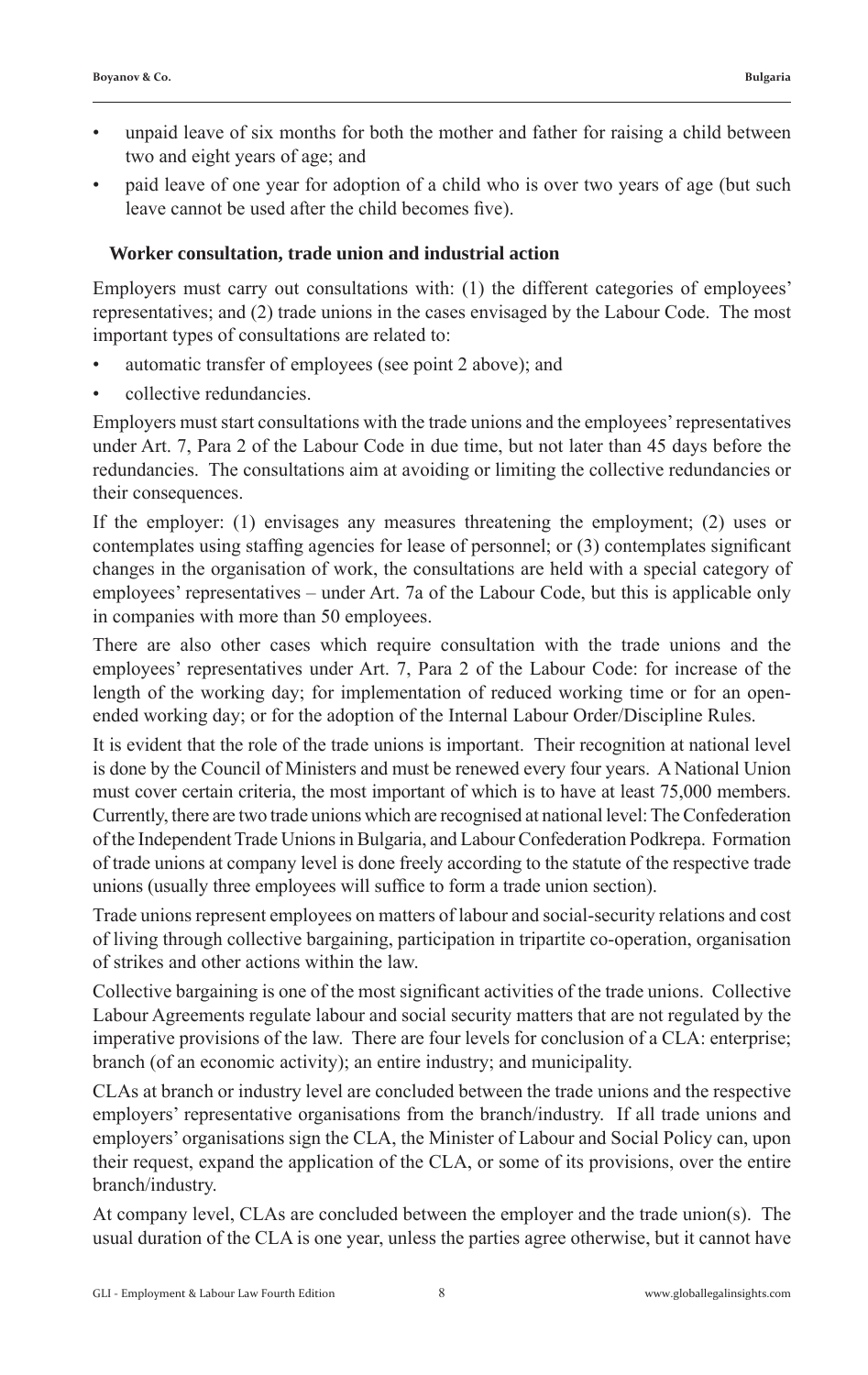- unpaid leave of six months for both the mother and father for raising a child between two and eight years of age; and
- paid leave of one year for adoption of a child who is over two years of age (but such leave cannot be used after the child becomes five).

## **Worker consultation, trade union and industrial action**

Employers must carry out consultations with: (1) the different categories of employees' representatives; and (2) trade unions in the cases envisaged by the Labour Code. The most important types of consultations are related to:

- automatic transfer of employees (see point 2 above); and
- collective redundancies.

Employers must start consultations with the trade unions and the employees' representatives under Art. 7, Para 2 of the Labour Code in due time, but not later than 45 days before the redundancies. The consultations aim at avoiding or limiting the collective redundancies or their consequences.

If the employer: (1) envisages any measures threatening the employment; (2) uses or contemplates using staffing agencies for lease of personnel; or (3) contemplates significant changes in the organisation of work, the consultations are held with a special category of employees' representatives – under Art. 7a of the Labour Code, but this is applicable only in companies with more than 50 employees.

There are also other cases which require consultation with the trade unions and the employees' representatives under Art. 7, Para 2 of the Labour Code: for increase of the length of the working day; for implementation of reduced working time or for an openended working day; or for the adoption of the Internal Labour Order/Discipline Rules.

It is evident that the role of the trade unions is important. Their recognition at national level is done by the Council of Ministers and must be renewed every four years. A National Union must cover certain criteria, the most important of which is to have at least 75,000 members. Currently, there are two trade unions which are recognised at national level: The Confederation of the Independent Trade Unions in Bulgaria, and Labour Confederation Podkrepa. Formation of trade unions at company level is done freely according to the statute of the respective trade unions (usually three employees will suffice to form a trade union section).

Trade unions represent employees on matters of labour and social-security relations and cost of living through collective bargaining, participation in tripartite co-operation, organisation of strikes and other actions within the law.

Collective bargaining is one of the most significant activities of the trade unions. Collective Labour Agreements regulate labour and social security matters that are not regulated by the imperative provisions of the law. There are four levels for conclusion of a CLA: enterprise; branch (of an economic activity); an entire industry; and municipality.

CLAs at branch or industry level are concluded between the trade unions and the respective employers' representative organisations from the branch/industry. If all trade unions and employers' organisations sign the CLA, the Minister of Labour and Social Policy can, upon their request, expand the application of the CLA, or some of its provisions, over the entire branch/industry.

At company level, CLAs are concluded between the employer and the trade union(s). The usual duration of the CLA is one year, unless the parties agree otherwise, but it cannot have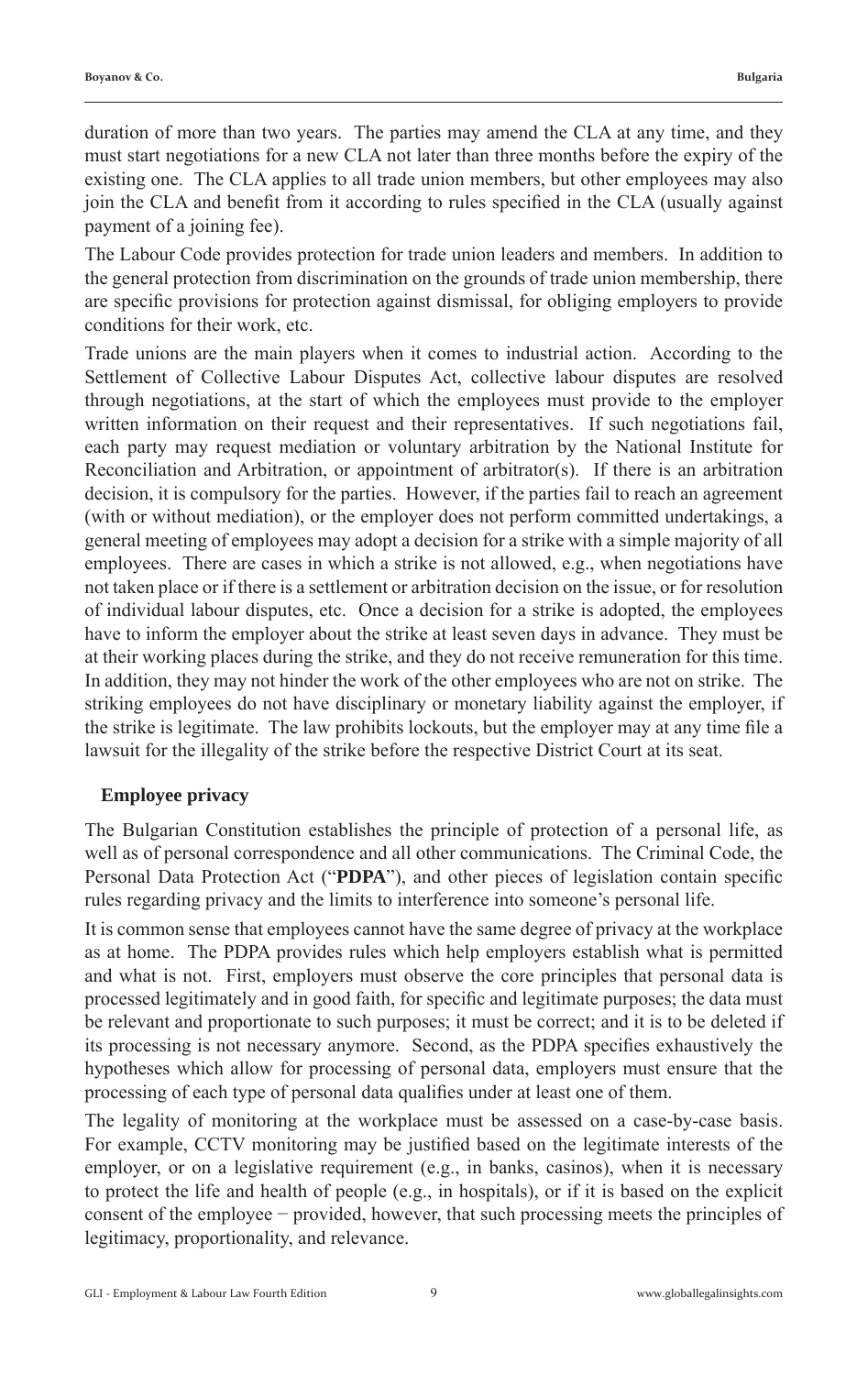duration of more than two years. The parties may amend the CLA at any time, and they must start negotiations for a new CLA not later than three months before the expiry of the existing one. The CLA applies to all trade union members, but other employees may also join the CLA and benefit from it according to rules specified in the CLA (usually against payment of a joining fee).

The Labour Code provides protection for trade union leaders and members. In addition to the general protection from discrimination on the grounds of trade union membership, there are specific provisions for protection against dismissal, for obliging employers to provide conditions for their work, etc.

Trade unions are the main players when it comes to industrial action. According to the Settlement of Collective Labour Disputes Act, collective labour disputes are resolved through negotiations, at the start of which the employees must provide to the employer written information on their request and their representatives. If such negotiations fail, each party may request mediation or voluntary arbitration by the National Institute for Reconciliation and Arbitration, or appointment of arbitrator(s). If there is an arbitration decision, it is compulsory for the parties. However, if the parties fail to reach an agreement (with or without mediation), or the employer does not perform committed undertakings, a general meeting of employees may adopt a decision for a strike with a simple majority of all employees. There are cases in which a strike is not allowed, e.g., when negotiations have not taken place or if there is a settlement or arbitration decision on the issue, or for resolution of individual labour disputes, etc. Once a decision for a strike is adopted, the employees have to inform the employer about the strike at least seven days in advance. They must be at their working places during the strike, and they do not receive remuneration for this time. In addition, they may not hinder the work of the other employees who are not on strike. The striking employees do not have disciplinary or monetary liability against the employer, if the strike is legitimate. The law prohibits lockouts, but the employer may at any time file a lawsuit for the illegality of the strike before the respective District Court at its seat.

#### **Employee privacy**

The Bulgarian Constitution establishes the principle of protection of a personal life, as well as of personal correspondence and all other communications. The Criminal Code, the Personal Data Protection Act ("PDPA"), and other pieces of legislation contain specific rules regarding privacy and the limits to interference into someone's personal life.

It is common sense that employees cannot have the same degree of privacy at the workplace as at home. The PDPA provides rules which help employers establish what is permitted and what is not. First, employers must observe the core principles that personal data is processed legitimately and in good faith, for specific and legitimate purposes; the data must be relevant and proportionate to such purposes; it must be correct; and it is to be deleted if its processing is not necessary anymore. Second, as the PDPA specifies exhaustively the hypotheses which allow for processing of personal data, employers must ensure that the processing of each type of personal data qualifies under at least one of them.

The legality of monitoring at the workplace must be assessed on a case-by-case basis. For example, CCTV monitoring may be justified based on the legitimate interests of the employer, or on a legislative requirement (e.g., in banks, casinos), when it is necessary to protect the life and health of people (e.g., in hospitals), or if it is based on the explicit consent of the employee − provided, however, that such processing meets the principles of legitimacy, proportionality, and relevance.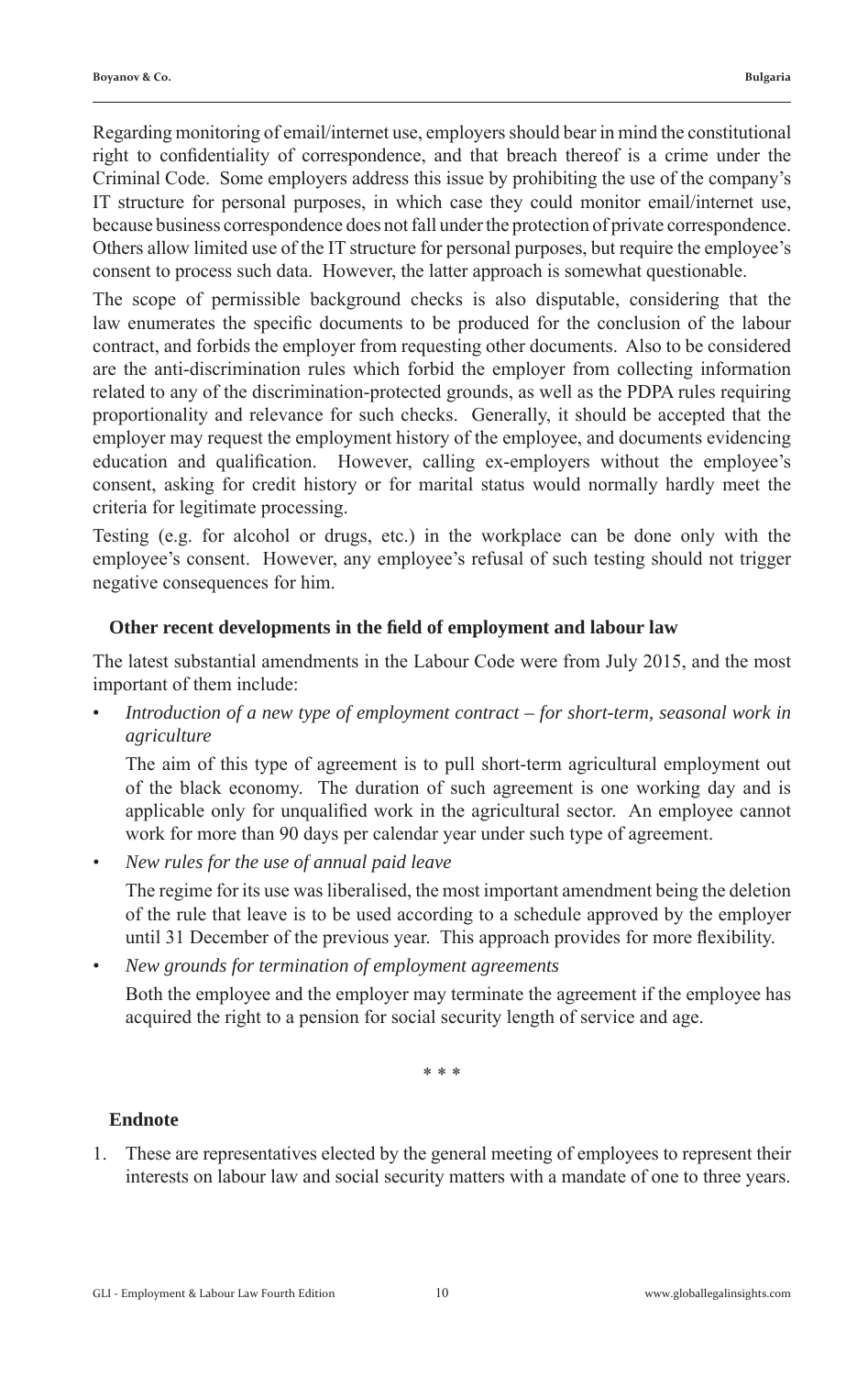Regarding monitoring of email/internet use, employers should bear in mind the constitutional right to confidentiality of correspondence, and that breach thereof is a crime under the Criminal Code. Some employers address this issue by prohibiting the use of the company's IT structure for personal purposes, in which case they could monitor email/internet use, because business correspondence does not fall under the protection of private correspondence. Others allow limited use of the IT structure for personal purposes, but require the employee's consent to process such data. However, the latter approach is somewhat questionable.

The scope of permissible background checks is also disputable, considering that the law enumerates the specific documents to be produced for the conclusion of the labour contract, and forbids the employer from requesting other documents. Also to be considered are the anti-discrimination rules which forbid the employer from collecting information related to any of the discrimination-protected grounds, as well as the PDPA rules requiring proportionality and relevance for such checks. Generally, it should be accepted that the employer may request the employment history of the employee, and documents evidencing education and qualification. However, calling ex-employers without the employee's consent, asking for credit history or for marital status would normally hardly meet the criteria for legitimate processing.

Testing (e.g. for alcohol or drugs, etc.) in the workplace can be done only with the employee's consent. However, any employee's refusal of such testing should not trigger negative consequences for him.

#### **Other recent developments in the field of employment and labour law**

The latest substantial amendments in the Labour Code were from July 2015, and the most important of them include:

• *Introduction of a new type of employment contract – for short-term, seasonal work in agriculture*

 The aim of this type of agreement is to pull short-term agricultural employment out of the black economy. The duration of such agreement is one working day and is applicable only for unqualified work in the agricultural sector. An employee cannot work for more than 90 days per calendar year under such type of agreement.

*• New rules for the use of annual paid leave*

 The regime for its use was liberalised, the most important amendment being the deletion of the rule that leave is to be used according to a schedule approved by the employer until 31 December of the previous year. This approach provides for more flexibility.

*• New grounds for termination of employment agreements* Both the employee and the employer may terminate the agreement if the employee has acquired the right to a pension for social security length of service and age.

\* \* \*

#### **Endnote**

1. These are representatives elected by the general meeting of employees to represent their interests on labour law and social security matters with a mandate of one to three years.